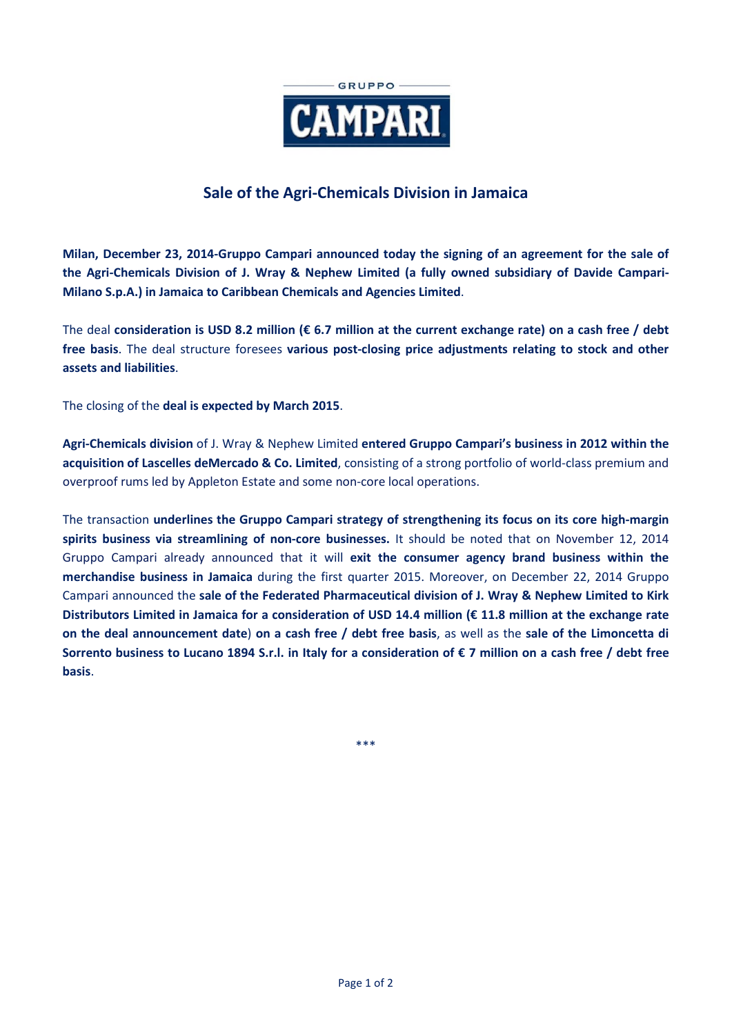

# **Sale of the Agri-Chemicals Division in Jamaica**

**Milan, December 23, 2014-Gruppo Campari announced today the signing of an agreement for the sale of the Agri-Chemicals Division of J. Wray & Nephew Limited (a fully owned subsidiary of Davide Campari-Milano S.p.A.) in Jamaica to Caribbean Chemicals and Agencies Limited**.

The deal **consideration is USD 8.2 million (€ 6.7 million at the current exchange rate) on a cash free / debt free basis**. The deal structure foresees **various post-closing price adjustments relating to stock and other assets and liabilities**.

The closing of the **deal is expected by March 2015**.

**Agri-Chemicals division** of J. Wray & Nephew Limited **entered Gruppo Campari's business in 2012 within the acquisition of Lascelles deMercado & Co. Limited**, consisting of a strong portfolio of world-class premium and overproof rums led by Appleton Estate and some non-core local operations.

The transaction **underlines the Gruppo Campari strategy of strengthening its focus on its core high-margin spirits business via streamlining of non-core businesses.** It should be noted that on November 12, 2014 Gruppo Campari already announced that it will **exit the consumer agency brand business within the merchandise business in Jamaica** during the first quarter 2015. Moreover, on December 22, 2014 Gruppo Campari announced the **sale of the Federated Pharmaceutical division of J. Wray & Nephew Limited to Kirk Distributors Limited in Jamaica for a consideration of USD 14.4 million (€ 11.8 million at the exchange rate on the deal announcement date**) **on a cash free / debt free basis**, as well as the **sale of the Limoncetta di Sorrento business to Lucano 1894 S.r.l. in Italy for a consideration of € 7 million on a cash free / debt free basis**.

\*\*\*